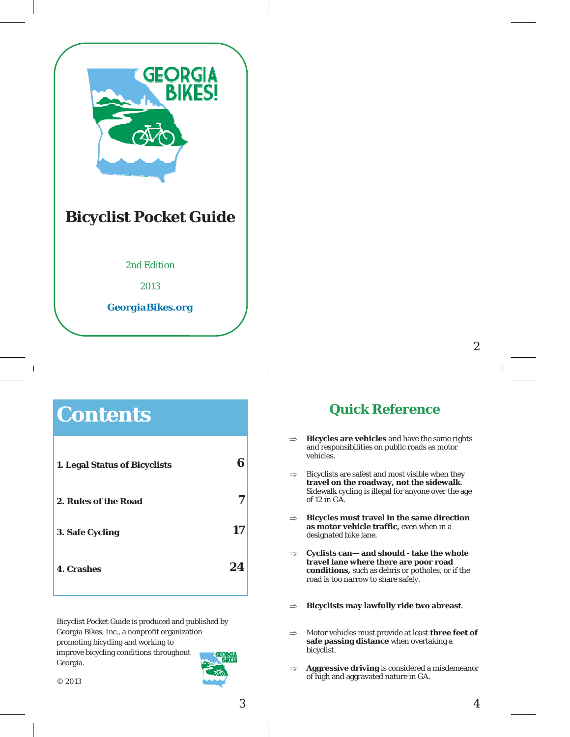

# **Contents**

 $\overline{\phantom{a}}$ 

| 1. Legal Status of Bicyclists | R  |
|-------------------------------|----|
| 2. Rules of the Road          |    |
| 3. Safe Cycling               | 17 |
| <b>4. Crashes</b>             | 24 |

*Bicyclist Pocket Guide* is produced and published by Georgia Bikes, Inc., a nonprofit organization promoting bicycling and working to improve bicycling conditions throughout Georgia.



3

# **Quick Reference**

- **Bicycles are vehicles** and have the same rights and responsibilities on public roads as motor vehicles.
- $\Rightarrow$  Bicyclists are safest and most visible when they **travel on the roadway, not the sidewalk**. Sidewalk cycling is illegal for anyone over the age of 12 in GA.
- **Bicycles must travel in the same direction as motor vehicle traffic,** even when in a designated bike lane.
- **Cyclists can— and should take the whole travel lane where there are poor road conditions,** such as debris or potholes, or if the road is too narrow to share safely.
- **Bicyclists may lawfully ride two abreast**.
- $\Rightarrow$  Motor vehicles must provide at least **three feet of safe passing distance** when overtaking a bicyclist.
- **Aggressive driving** is considered a misdemeanor of high and aggravated nature in GA.

2

 $\overline{1}$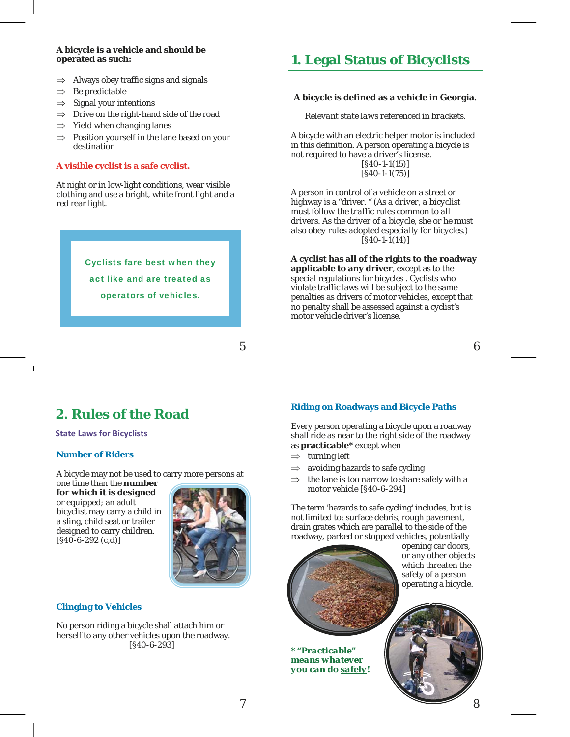#### **A bicycle is a vehicle and should be operated as such:**

- $\Rightarrow$  Always obey traffic signs and signals
- $\Rightarrow$  Be predictable
- $\Rightarrow$  Signal your intentions
- $\Rightarrow$  Drive on the right-hand side of the road
- $\Rightarrow$  Yield when changing lanes
- $\Rightarrow$  Position yourself in the lane based on your destination

#### **A visible cyclist is a safe cyclist.**

At night or in low-light conditions, wear visible clothing and use a bright, white front light and a red rear light.

> Cyclists fare best when they act like and are treated as operators of vehicles.

> > 5

# **2. Rules of the Road**

**State Laws for Bicyclists**

#### **Number of Riders**

 $\overline{\phantom{a}}$ 

A bicycle may not be used to carry more persons at

one time than the **number for which it is designed**  or equipped; an adult bicyclist may carry a child in a sling, child seat or trailer designed to carry children.  $[S40-6-292 (c,d)]$ 



#### **Clinging to Vehicles**

No person riding a bicycle shall attach him or herself to any other vehicles upon the roadway. [§40-6-293]

# **1. Legal Status of Bicyclists**

#### **A bicycle is defined as a vehicle in Georgia.**

*Relevant state laws referenced in brackets.* 

A bicycle with an electric helper motor is included in this definition. A person operating a bicycle is not required to have a driver's license. [§40-1-1(15)] [§40-1-1(75)]

A person in control of a vehicle on a street or highway is a "driver. " *(As a driver, a bicyclist must follow the traffic rules common to all drivers. As the driver of a bicycle, she or he must also obey rules adopted especially for bicycles.)*  [§40-1-1(14)]

**A cyclist has all of the rights to the roadway applicable to any driver**, except as to the special regulations for bicycles . Cyclists who violate traffic laws will be subject to the same penalties as drivers of motor vehicles, except that no penalty shall be assessed against a cyclist's motor vehicle driver's license.

6

#### **Riding on Roadways and Bicycle Paths**

Every person operating a bicycle upon a roadway shall ride as near to the right side of the roadway as **practicable\*** except when

- $\Rightarrow$  turning left
- $\Rightarrow$  avoiding hazards to safe cycling
- $\Rightarrow$  the lane is too narrow to share safely with a motor vehicle [§40-6-294]

The term 'hazards to safe cycling' includes, but is not limited to: surface debris, rough pavement, drain grates which are parallel to the side of the roadway, parked or stopped vehicles, potentially

opening car doors, or any other objects which threaten the safety of a person operating a bicycle.

*\* "Practicable" means whatever you can do safely!*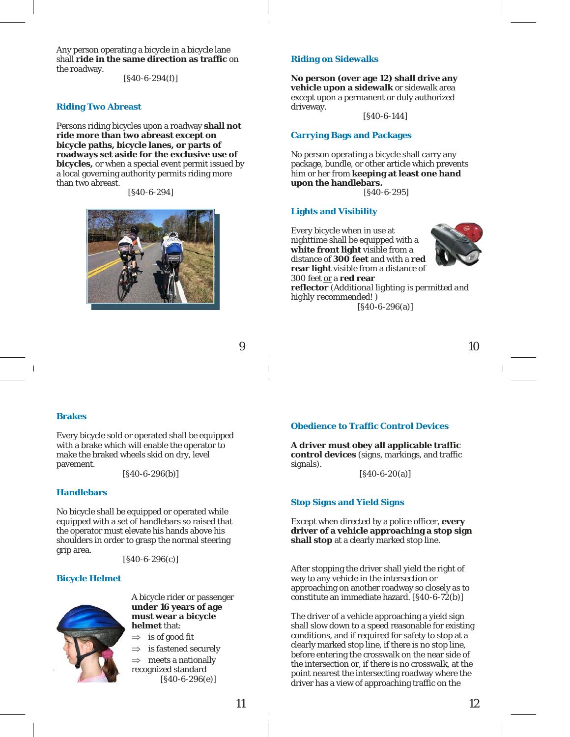Any person operating a bicycle in a bicycle lane shall **ride in the same direction as traffic** on the roadway.

 $[S40-6-294(f)]$ 

#### **Riding Two Abreast**

Persons riding bicycles upon a roadway **shall not ride more than two abreast except on bicycle paths, bicycle lanes, or parts of roadways set aside for the exclusive use of bicycles,** or when a special event permit issued by a local governing authority permits riding more than two abreast.

[§40-6-294]



### 9

#### **Riding on Sidewalks**

**No person (over age 12) shall drive any vehicle upon a sidewalk** or sidewalk area except upon a permanent or duly authorized driveway.

[§40-6-144]

#### **Carrying Bags and Packages**

No person operating a bicycle shall carry any package, bundle, or other article which prevents him or her from **keeping at least one hand upon the handlebars.** 

[§40-6-295]

#### **Lights and Visibility**

Every bicycle when in use at nighttime shall be equipped with a **white front light** visible from a distance of **300 feet** and with a **red rear light** visible from a distance of 300 feet or a **red rear reflector** *(Additional lighting is permitted and highly recommended! )*

[§40-6-296(a)]



10

#### **Brakes**

Every bicycle sold or operated shall be equipped with a brake which will enable the operator to make the braked wheels skid on dry, level pavement.

 $[§40-6-296(b)]$ 

#### **Handlebars**

No bicycle shall be equipped or operated while equipped with a set of handlebars so raised that the operator must elevate his hands above his shoulders in order to grasp the normal steering grip area.

 $[§40-6-296(c)]$ 

#### **Bicycle Helmet**



A bicycle rider or passenger **under 16 years of age must wear a bicycle helmet** that:

- $\Rightarrow$  is of good fit
- $\Rightarrow$  is fastened securely meets a nationally recognized standard [§40-6-296(e)]

#### **Obedience to Traffic Control Devices**

**A driver must obey all applicable traffic control devices** (signs, markings, and traffic signals).

 $[§40-6-20(a)]$ 

#### **Stop Signs and Yield Signs**

Except when directed by a police officer, **every driver of a vehicle approaching a stop sign shall stop** at a clearly marked stop line.

After stopping the driver shall yield the right of way to any vehicle in the intersection or approaching on another roadway so closely as to constitute an immediate hazard. [§40-6-72(b)]

The driver of a vehicle approaching a yield sign shall slow down to a speed reasonable for existing conditions, and if required for safety to stop at a clearly marked stop line, if there is no stop line, before entering the crosswalk on the near side of the intersection or, if there is no crosswalk, at the point nearest the intersecting roadway where the driver has a view of approaching traffic on the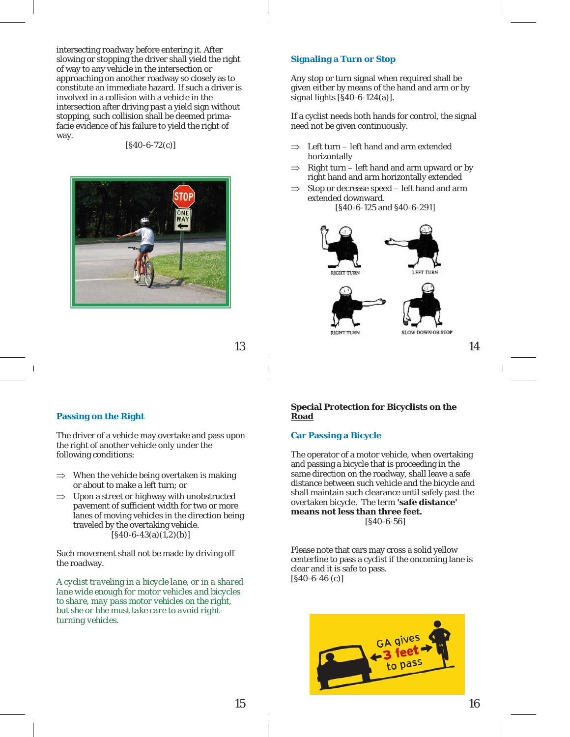intersecting roadway before entering it. After slowing or stopping the driver shall yield the right of way to any vehicle in the intersection or approaching on another roadway so closely as to constitute an immediate hazard. If such a driver is involved in a collision with a vehicle in the intersection after driving past a yield sign without stopping, such collision shall be deemed primafacie evidence of his failure to yield the right of way.

#### [§40-6-72(c)]



#### **Signaling a Turn or Stop**

Any stop or turn signal when required shall be given either by means of the hand and arm or by signal lights [§40-6-124(a)].

If a cyclist needs both hands for control, the signal need not be given continuously.

- Left turn left hand and arm extended horizontally
- $\Rightarrow$  Right turn left hand and arm upward *or* by right hand and arm horizontally extended
- $\Rightarrow$  Stop or decrease speed left hand and arm extended downward.



**RIGHT TURN** 

14

SLOW DOWN OR STOP

13

#### **Passing on the Right**

The driver of a vehicle may overtake and pass upon the right of another vehicle only under the following conditions:

- $\Rightarrow$  When the vehicle being overtaken is making or about to make a left turn; or
- $\Rightarrow$  Upon a street or highway with unobstructed pavement of sufficient width for two or more lanes of moving vehicles in the direction being traveled by the overtaking vehicle.  $[§40-6-43(a)(1,2)(b)]$

Such movement shall not be made by driving off the roadway.

*A cyclist traveling in a bicycle lane, or in a shared lane wide enough for motor vehicles and bicycles to share, may pass motor vehicles on the right, but she or hhe must take care to avoid rightturning vehicles.* 

#### **Special Protection for Bicyclists on the Road**

#### **Car Passing a Bicycle**

The operator of a motor vehicle, when overtaking and passing a bicycle that is proceeding in the same direction on the roadway, shall leave a safe distance between such vehicle and the bicycle and shall maintain such clearance until safely past the overtaken bicycle. The term **'safe distance' means not less than three feet.**  [§40-6-56]

Please note that cars may cross a solid yellow centerline to pass a cyclist if the oncoming lane is clear and it is safe to pass. [§40-6-46 (c)]

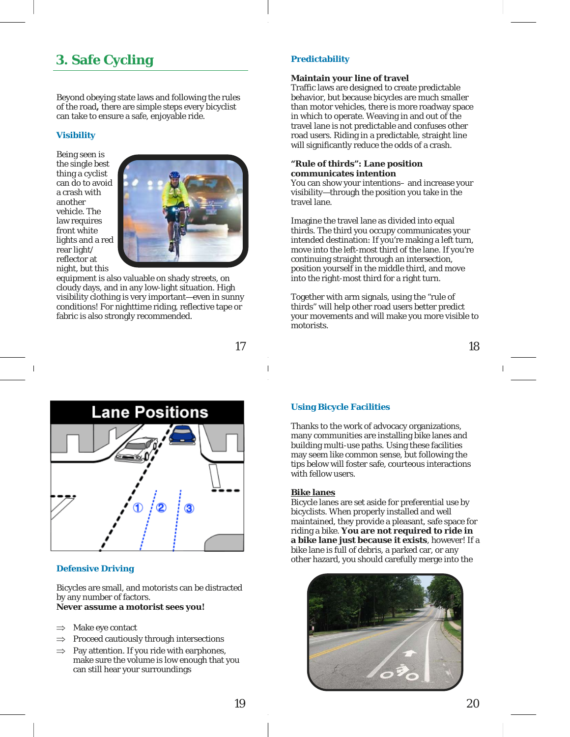# **3. Safe Cycling**

Beyond obeying state laws and following the rules of the road**,** there are simple steps every bicyclist can take to ensure a safe, enjoyable ride.

#### **Visibility**

Being seen is the single best thing a cyclist can do to avoid a crash with another vehicle. The law requires front white lights and a red rear light/ reflector at night, but this



equipment is also valuable on shady streets, on cloudy days, and in any low-light situation. High visibility clothing is very important—even in sunny conditions! For nighttime riding, reflective tape or fabric is also strongly recommended.

17



#### **Defensive Driving**

Bicycles are small, and motorists can be distracted by any number of factors.

### **Never assume a motorist sees you!**

- $\Rightarrow$  Make eye contact
- $\Rightarrow$  Proceed cautiously through intersections
- $\Rightarrow$  Pay attention. If you ride with earphones, make sure the volume is low enough that you can still hear your surroundings

#### **Predictability**

#### **Maintain your line of travel**

Traffic laws are designed to create predictable behavior, but because bicycles are much smaller than motor vehicles, there is more roadway space in which to operate. Weaving in and out of the travel lane is not predictable and confuses other road users. Riding in a predictable, straight line will significantly reduce the odds of a crash.

#### **"Rule of thirds": Lane position communicates intention**

You can show your intentions– and increase your visibility—through the position you take in the travel lane.

Imagine the travel lane as divided into equal thirds. The third you occupy communicates your intended destination: If you're making a left turn, move into the left-most third of the lane. If you're continuing straight through an intersection, position yourself in the middle third, and move into the right-most third for a right turn.

Together with arm signals, using the "rule of thirds" will help other road users better predict your movements and will make you more visible to motorists.

18

#### **Using Bicycle Facilities**

Thanks to the work of advocacy organizations, many communities are installing bike lanes and building multi-use paths. Using these facilities may seem like common sense, but following the tips below will foster safe, courteous interactions with fellow users.

#### **Bike lanes**

Bicycle lanes are set aside for preferential use by bicyclists. When properly installed and well maintained, they provide a pleasant, safe space for riding a bike. **You are not required to ride in a bike lane just because it exists**, however! If a bike lane is full of debris, a parked car, or any other hazard, you should carefully merge into the

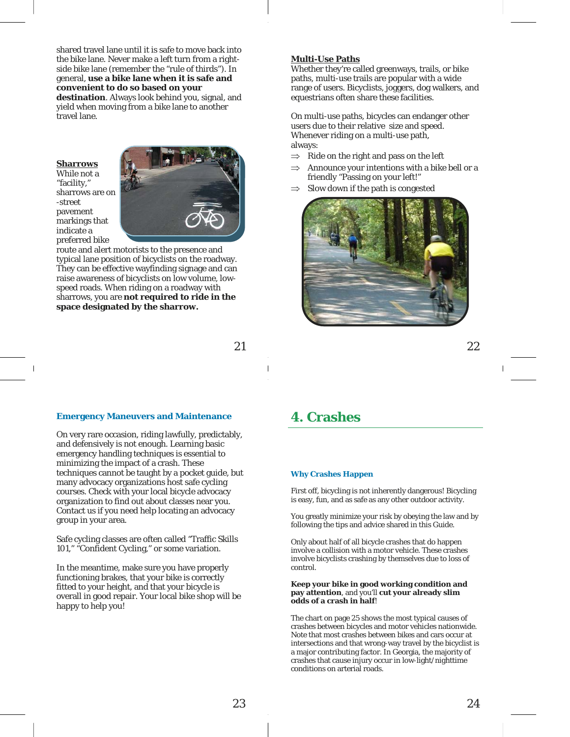shared travel lane until it is safe to move back into the bike lane. Never make a left turn from a rightside bike lane (remember the "rule of thirds"). In general, **use a bike lane when it is safe and convenient to do so based on your** 

**destination**. Always look behind you, signal, and yield when moving from a bike lane to another travel lane.

#### **Sharrows**

While not a "facility," sharrows are on -street pavement markings that indicate a preferred bike



route and alert motorists to the presence and typical lane position of bicyclists on the roadway. They can be effective wayfinding signage and can raise awareness of bicyclists on low volume, lowspeed roads. When riding on a roadway with sharrows, you are **not required to ride in the space designated by the sharrow.**

#### **Multi-Use Paths**

Whether they're called greenways, trails, or bike paths, multi-use trails are popular with a wide range of users. Bicyclists, joggers, dog walkers, and equestrians often share these facilities.

On multi-use paths, bicycles can endanger other users due to their relative size and speed. Whenever riding on a multi-use path, always:

- $\Rightarrow$  Ride on the right and pass on the left
- $\Rightarrow$  Announce your intentions with a bike bell or a friendly "Passing on your left!"
- Slow down if the path is congested



22

#### **Emergency Maneuvers and Maintenance**

On very rare occasion, riding lawfully, predictably, and defensively is not enough. Learning basic emergency handling techniques is essential to minimizing the impact of a crash. These techniques cannot be taught by a pocket guide, but many advocacy organizations host safe cycling courses. Check with your local bicycle advocacy organization to find out about classes near you. Contact us if you need help locating an advocacy group in your area.

Safe cycling classes are often called "Traffic Skills 101," "Confident Cycling," or some variation.

In the meantime, make sure you have properly functioning brakes, that your bike is correctly fitted to your height, and that your bicycle is overall in good repair. Your local bike shop will be happy to help you!

### **4. Crashes**

#### **Why Crashes Happen**

First off, bicycling is not inherently dangerous! Bicycling is easy, fun, and as safe as any other outdoor activity.

You greatly minimize your risk by obeying the law and by following the tips and advice shared in this Guide.

Only about half of all bicycle crashes that do happen involve a collision with a motor vehicle. These crashes involve bicyclists crashing by themselves due to loss of control.

#### **Keep your bike in good working condition and pay attention**, and you'll **cut your already slim odds of a crash in half**!

The chart on page 25 shows the most typical causes of crashes between bicycles and motor vehicles nationwide. Note that most crashes between bikes and cars occur at intersections and that wrong-way travel by the bicyclist is a major contributing factor. In Georgia, the majority of crashes that cause injury occur in low-light/nighttime conditions on arterial roads.

21